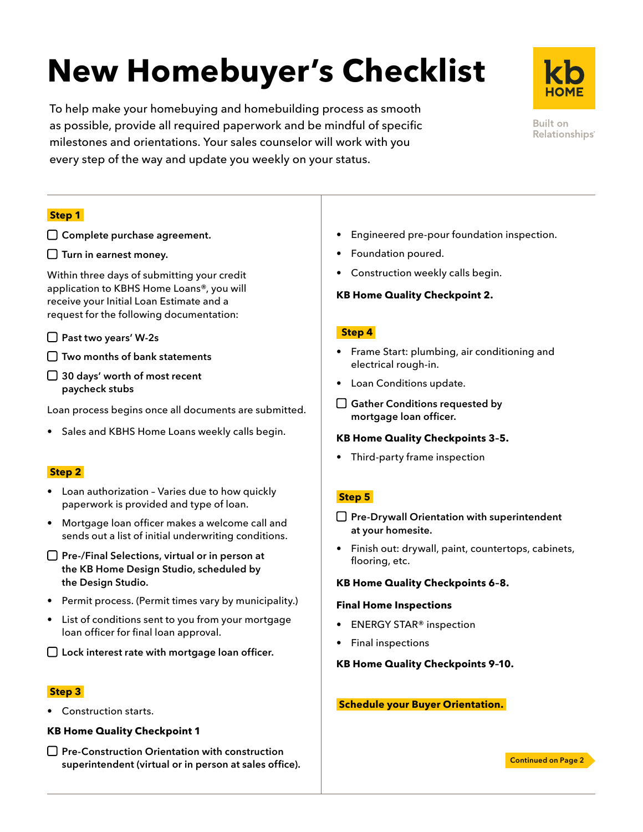# **New Homebuyer's Checklist**

To help make your homebuying and homebuilding process as smooth as possible, provide all required paperwork and be mindful of specific milestones and orientations. Your sales counselor will work with you every step of the way and update you weekly on your status.



Built on Relationships<sup>®</sup>

## **Step 1**

- □ Complete purchase agreement.
- $\Box$  Turn in earnest money.

Within three days of submitting your credit application to KBHS Home Loans®, you will receive your Initial Loan Estimate and a request for the following documentation:

- □ Past two years' W-2s
- $\Box$  Two months of bank statements
- □ 30 days' worth of most recent paycheck stubs

Loan process begins once all documents are submitted.

• Sales and KBHS Home Loans weekly calls begin.

## **Step 2**

- Loan authorization Varies due to how quickly paperwork is provided and type of loan.
- Mortgage loan officer makes a welcome call and sends out a list of initial underwriting conditions.
- $\Box$  Pre-/Final Selections, virtual or in person at the KB Home Design Studio, scheduled by the Design Studio.
- Permit process. (Permit times vary by municipality.)
- List of conditions sent to you from your mortgage loan officer for final loan approval.

□ Lock interest rate with mortgage loan officer.

#### **Step 3**

Construction starts.

#### **KB Home Quality Checkpoint 1**

 $\Box$  Pre-Construction Orientation with construction superintendent (virtual or in person at sales office).

- Engineered pre-pour foundation inspection.
- Foundation poured.
- Construction weekly calls begin.

### **KB Home Quality Checkpoint 2.**

## **Step 4**

- Frame Start: plumbing, air conditioning and electrical rough-in.
- Loan Conditions update.
- □ Gather Conditions requested by mortgage loan officer.

## **KB Home Quality Checkpoints 3–5.**

• Third-party frame inspection

## **Step 5**

- $\Box$  Pre-Drywall Orientation with superintendent at your homesite.
- Finish out: drywall, paint, countertops, cabinets, flooring, etc.

## **KB Home Quality Checkpoints 6–8.**

#### **Final Home Inspections**

- ENERGY STAR® inspection
- Final inspections

#### **KB Home Quality Checkpoints 9–10.**

### **Schedule your Buyer Orientation.**

Continued on Page 2